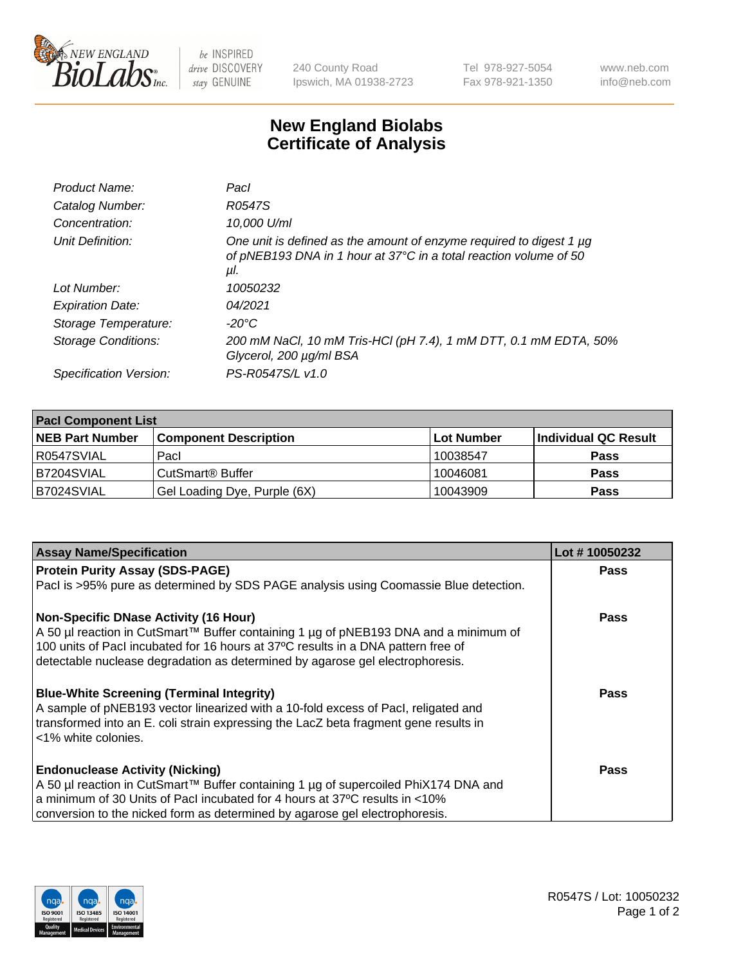

 $be$  INSPIRED drive DISCOVERY stay GENUINE

240 County Road Ipswich, MA 01938-2723 Tel 978-927-5054 Fax 978-921-1350 www.neb.com info@neb.com

## **New England Biolabs Certificate of Analysis**

| Product Name:           | Pacl                                                                                                                                            |
|-------------------------|-------------------------------------------------------------------------------------------------------------------------------------------------|
| Catalog Number:         | R0547S                                                                                                                                          |
| Concentration:          | 10,000 U/ml                                                                                                                                     |
| Unit Definition:        | One unit is defined as the amount of enzyme required to digest 1 µg<br>of pNEB193 DNA in 1 hour at 37°C in a total reaction volume of 50<br>μl. |
| Lot Number:             | 10050232                                                                                                                                        |
| <b>Expiration Date:</b> | 04/2021                                                                                                                                         |
| Storage Temperature:    | $-20^{\circ}$ C                                                                                                                                 |
| Storage Conditions:     | 200 mM NaCl, 10 mM Tris-HCl (pH 7.4), 1 mM DTT, 0.1 mM EDTA, 50%<br>Glycerol, 200 µg/ml BSA                                                     |
| Specification Version:  | PS-R0547S/L v1.0                                                                                                                                |
|                         |                                                                                                                                                 |

| <b>Pacl Component List</b> |                              |              |                      |  |  |
|----------------------------|------------------------------|--------------|----------------------|--|--|
| <b>NEB Part Number</b>     | <b>Component Description</b> | l Lot Number | Individual QC Result |  |  |
| R0547SVIAL                 | Pacl                         | 10038547     | <b>Pass</b>          |  |  |
| B7204SVIAL                 | l CutSmart® Buffer           | 10046081     | <b>Pass</b>          |  |  |
| B7024SVIAL                 | Gel Loading Dye, Purple (6X) | 10043909     | <b>Pass</b>          |  |  |

| <b>Assay Name/Specification</b>                                                      | Lot #10050232 |
|--------------------------------------------------------------------------------------|---------------|
| <b>Protein Purity Assay (SDS-PAGE)</b>                                               | Pass          |
| Pacl is >95% pure as determined by SDS PAGE analysis using Coomassie Blue detection. |               |
| <b>Non-Specific DNase Activity (16 Hour)</b>                                         | Pass          |
| A 50 µl reaction in CutSmart™ Buffer containing 1 µg of pNEB193 DNA and a minimum of |               |
| 100 units of PacI incubated for 16 hours at 37°C results in a DNA pattern free of    |               |
| detectable nuclease degradation as determined by agarose gel electrophoresis.        |               |
| <b>Blue-White Screening (Terminal Integrity)</b>                                     | <b>Pass</b>   |
| A sample of pNEB193 vector linearized with a 10-fold excess of Pacl, religated and   |               |
| transformed into an E. coli strain expressing the LacZ beta fragment gene results in |               |
| <1% white colonies.                                                                  |               |
| <b>Endonuclease Activity (Nicking)</b>                                               | <b>Pass</b>   |
| A 50 µl reaction in CutSmart™ Buffer containing 1 µg of supercoiled PhiX174 DNA and  |               |
| a minimum of 30 Units of Pacl incubated for 4 hours at 37°C results in <10%          |               |
| conversion to the nicked form as determined by agarose gel electrophoresis.          |               |